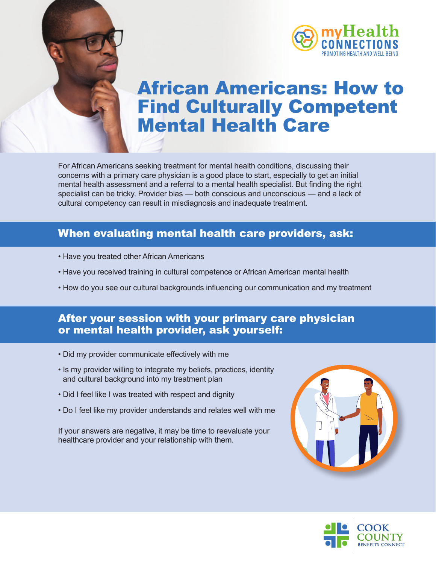



# African Americans: How to Find Culturally Competent Mental Health Care

For African Americans seeking treatment for mental health conditions, discussing their concerns with a primary care physician is a good place to start, especially to get an initial mental health assessment and a referral to a mental health specialist. But finding the right specialist can be tricky. Provider bias — both conscious and unconscious — and a lack of cultural competency can result in misdiagnosis and inadequate treatment.

#### When evaluating mental health care providers, ask:

- Have you treated other African Americans
- Have you received training in cultural competence or African American mental health
- How do you see our cultural backgrounds influencing our communication and my treatment

#### After your session with your primary care physician or mental health provider, ask yourself:

- Did my provider communicate effectively with me
- Is my provider willing to integrate my beliefs, practices, identity and cultural background into my treatment plan
- Did I feel like I was treated with respect and dignity
- Do I feel like my provider understands and relates well with me

If your answers are negative, it may be time to reevaluate your healthcare provider and your relationship with them.



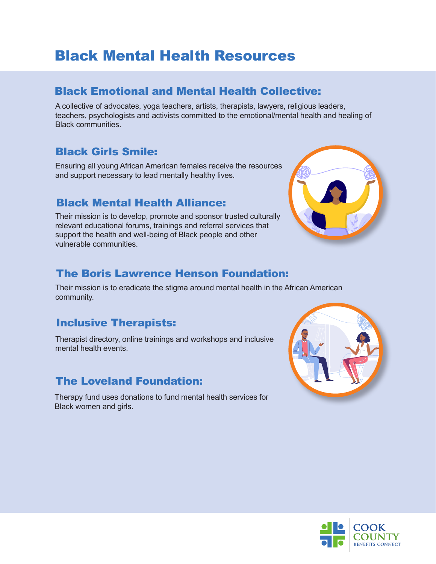# Black Mental Health Resources

#### [Black Emotional and Mental Health Collective:](https://www.beam.community/)

A collective of advocates, yoga teachers, artists, therapists, lawyers, religious leaders, teachers, psychologists and activists committed to the emotional/mental health and healing of Black communities.

#### [Black Girls Smile:](https://www.blackgirlssmile.org/)

Ensuring all young African American females receive the resources and support necessary to lead mentally healthy lives.

#### [Black Mental Health Alliance:](https://blackmentalhealth.com/)

Their mission is to develop, promote and sponsor trusted culturally relevant educational forums, trainings and referral services that support the health and well-being of Black people and other vulnerable communities.



#### [The Boris Lawrence Henson Foundation:](https://borislhensonfoundation.org/)

Their mission is to eradicate the stigma around mental health in the African American community.

#### [Inclusive Therapists:](https://www.inclusivetherapists.com/)

Therapist directory, online trainings and workshops and inclusive mental health events.

### [The Loveland Foundation:](https://thelovelandfoundation.org/)

Therapy fund uses donations to fund mental health services for Black women and girls.